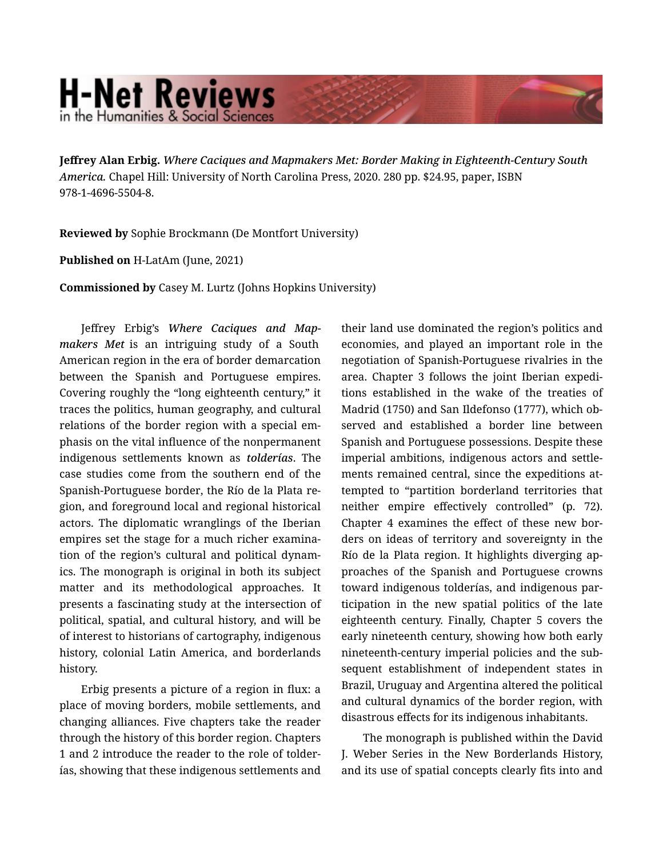## **H-Net Reviews** in the Humanities & Social Scienc

Jeffrey Alan Erbig. *Where Caciques and Mapmakers Met: Border Making in Eighteenth-Century South America.* Chapel Hill: University of North Carolina Press, 2020. 280 pp. \$24.95, paper, ISBN 978-1-4696-5504-8.

Reviewed by Sophie Brockmann (De Montfort University)

Published on H-LatAm (June, 2021)

Commissioned by Casey M. Lurtz (Johns Hopkins University)

Jeffrey Erbig's *Where Caciques and Map‐ makers Met* is an intriguing study of a South American region in the era of border demarcation between the Spanish and Portuguese empires. Covering roughly the "long eighteenth century," it traces the politics, human geography, and cultural relations of the border region with a special em‐ phasis on the vital influence of the nonpermanent indigenous settlements known as *tolderías*. The case studies come from the southern end of the Spanish-Portuguese border, the Río de la Plata re‐ gion, and foreground local and regional historical actors. The diplomatic wranglings of the Iberian empires set the stage for a much richer examina‐ tion of the region's cultural and political dynam‐ ics. The monograph is original in both its subject matter and its methodological approaches. It presents a fascinating study at the intersection of political, spatial, and cultural history, and will be of interest to historians of cartography, indigenous history, colonial Latin America, and borderlands history.

Erbig presents a picture of a region in flux: a place of moving borders, mobile settlements, and changing alliances. Five chapters take the reader through the history of this border region. Chapters 1 and 2 introduce the reader to the role of tolder‐ ías, showing that these indigenous settlements and their land use dominated the region's politics and economies, and played an important role in the negotiation of Spanish-Portuguese rivalries in the area. Chapter 3 follows the joint Iberian expedi‐ tions established in the wake of the treaties of Madrid (1750) and San Ildefonso (1777), which ob‐ served and established a border line between Spanish and Portuguese possessions. Despite these imperial ambitions, indigenous actors and settle‐ ments remained central, since the expeditions at‐ tempted to "partition borderland territories that neither empire effectively controlled" (p. 72). Chapter 4 examines the effect of these new bor‐ ders on ideas of territory and sovereignty in the Río de la Plata region. It highlights diverging ap‐ proaches of the Spanish and Portuguese crowns toward indigenous tolderías, and indigenous par‐ ticipation in the new spatial politics of the late eighteenth century. Finally, Chapter 5 covers the early nineteenth century, showing how both early nineteenth-century imperial policies and the sub‐ sequent establishment of independent states in Brazil, Uruguay and Argentina altered the political and cultural dynamics of the border region, with disastrous effects for its indigenous inhabitants.

The monograph is published within the David J. Weber Series in the New Borderlands History, and its use of spatial concepts clearly fits into and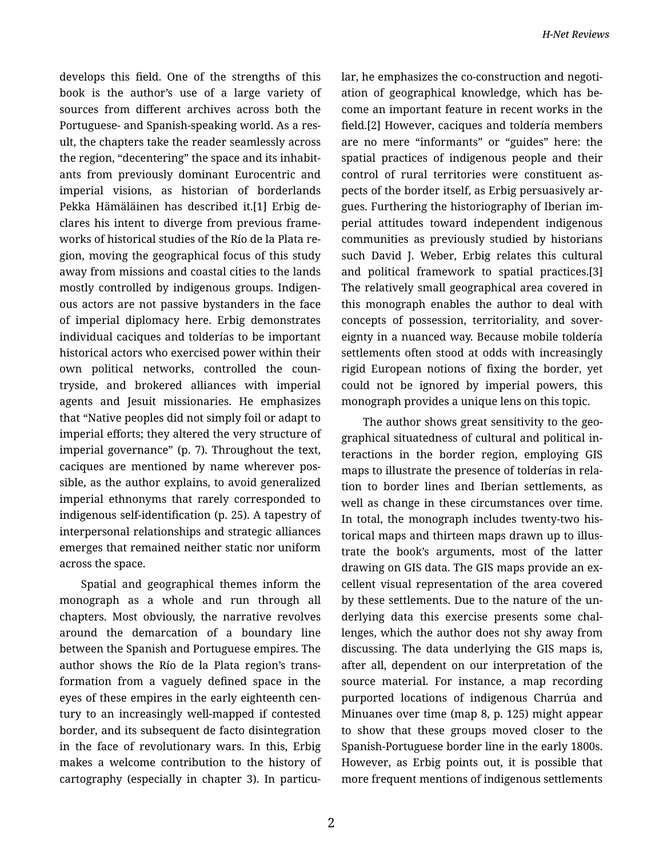develops this field. One of the strengths of this book is the author's use of a large variety of sources from different archives across both the Portuguese- and Spanish-speaking world. As a res‐ ult, the chapters take the reader seamlessly across the region, "decentering" the space and its inhabit‐ ants from previously dominant Eurocentric and imperial visions, as historian of borderlands Pekka Hämäläinen has described it.[1] Erbig de‐ clares his intent to diverge from previous frame‐ works of historical studies of the Río de la Plata re‐ gion, moving the geographical focus of this study away from missions and coastal cities to the lands mostly controlled by indigenous groups. Indigen‐ ous actors are not passive bystanders in the face of imperial diplomacy here. Erbig demonstrates individual caciques and tolderías to be important historical actors who exercised power within their own political networks, controlled the coun‐ tryside, and brokered alliances with imperial agents and Jesuit missionaries. He emphasizes that "Native peoples did not simply foil or adapt to imperial efforts; they altered the very structure of imperial governance" (p. 7). Throughout the text, caciques are mentioned by name wherever pos‐ sible, as the author explains, to avoid generalized imperial ethnonyms that rarely corresponded to indigenous self-identification (p. 25). A tapestry of interpersonal relationships and strategic alliances emerges that remained neither static nor uniform across the space.

Spatial and geographical themes inform the monograph as a whole and run through all chapters. Most obviously, the narrative revolves around the demarcation of a boundary line between the Spanish and Portuguese empires. The author shows the Río de la Plata region's trans‐ formation from a vaguely defined space in the eyes of these empires in the early eighteenth cen‐ tury to an increasingly well-mapped if contested border, and its subsequent de facto disintegration in the face of revolutionary wars. In this, Erbig makes a welcome contribution to the history of cartography (especially in chapter 3). In particu‐

lar, he emphasizes the co-construction and negoti‐ ation of geographical knowledge, which has be‐ come an important feature in recent works in the field.[2] However, caciques and toldería members are no mere "informants" or "guides" here: the spatial practices of indigenous people and their control of rural territories were constituent aspects of the border itself, as Erbig persuasively ar‐ gues. Furthering the historiography of Iberian im‐ perial attitudes toward independent indigenous communities as previously studied by historians such David J. Weber, Erbig relates this cultural and political framework to spatial practices.[3] The relatively small geographical area covered in this monograph enables the author to deal with concepts of possession, territoriality, and sover‐ eignty in a nuanced way. Because mobile toldería settlements often stood at odds with increasingly rigid European notions of fixing the border, yet could not be ignored by imperial powers, this monograph provides a unique lens on this topic.

The author shows great sensitivity to the geo‐ graphical situatedness of cultural and political in‐ teractions in the border region, employing GIS maps to illustrate the presence of tolderías in rela‐ tion to border lines and Iberian settlements, as well as change in these circumstances over time. In total, the monograph includes twenty-two his‐ torical maps and thirteen maps drawn up to illus‐ trate the book's arguments, most of the latter drawing on GIS data. The GIS maps provide an ex‐ cellent visual representation of the area covered by these settlements. Due to the nature of the un‐ derlying data this exercise presents some chal‐ lenges, which the author does not shy away from discussing. The data underlying the GIS maps is, after all, dependent on our interpretation of the source material. For instance, a map recording purported locations of indigenous Charrúa and Minuanes over time (map 8, p. 125) might appear to show that these groups moved closer to the Spanish-Portuguese border line in the early 1800s. However, as Erbig points out, it is possible that more frequent mentions of indigenous settlements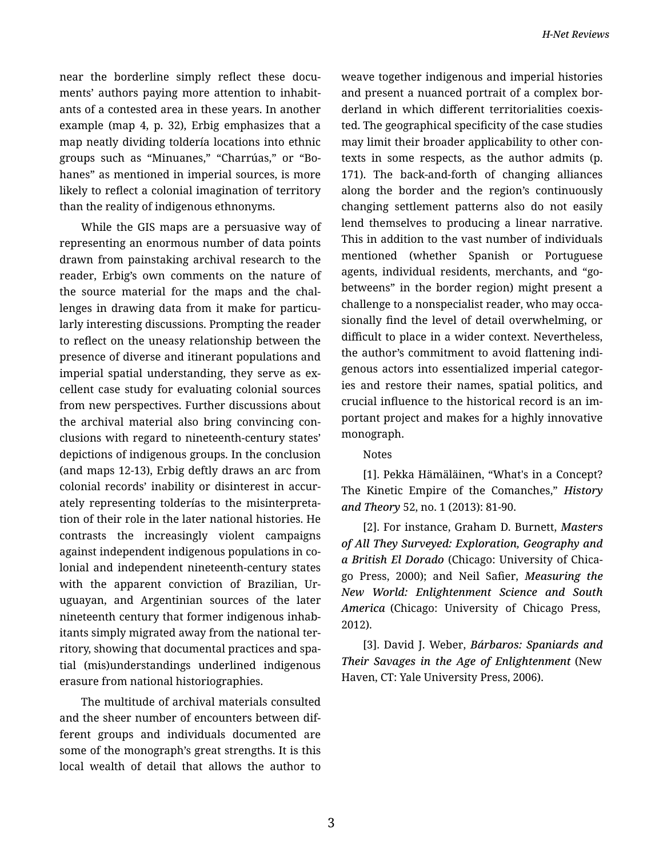near the borderline simply reflect these documents' authors paying more attention to inhabit‐ ants of a contested area in these years. In another example (map 4, p. 32), Erbig emphasizes that a map neatly dividing toldería locations into ethnic groups such as "Minuanes," "Charrúas," or "Bo‐ hanes" as mentioned in imperial sources, is more likely to reflect a colonial imagination of territory than the reality of indigenous ethnonyms.

While the GIS maps are a persuasive way of representing an enormous number of data points drawn from painstaking archival research to the reader, Erbig's own comments on the nature of the source material for the maps and the chal‐ lenges in drawing data from it make for particu‐ larly interesting discussions. Prompting the reader to reflect on the uneasy relationship between the presence of diverse and itinerant populations and imperial spatial understanding, they serve as excellent case study for evaluating colonial sources from new perspectives. Further discussions about the archival material also bring convincing con‐ clusions with regard to nineteenth-century states' depictions of indigenous groups. In the conclusion (and maps 12-13), Erbig deftly draws an arc from colonial records' inability or disinterest in accur‐ ately representing tolderías to the misinterpreta‐ tion of their role in the later national histories. He contrasts the increasingly violent campaigns against independent indigenous populations in co‐ lonial and independent nineteenth-century states with the apparent conviction of Brazilian, Ur‐ uguayan, and Argentinian sources of the later nineteenth century that former indigenous inhab‐ itants simply migrated away from the national ter‐ ritory, showing that documental practices and spa‐ tial (mis)understandings underlined indigenous erasure from national historiographies.

The multitude of archival materials consulted and the sheer number of encounters between dif‐ ferent groups and individuals documented are some of the monograph's great strengths. It is this local wealth of detail that allows the author to weave together indigenous and imperial histories and present a nuanced portrait of a complex bor‐ derland in which different territorialities coexis‐ ted. The geographical specificity of the case studies may limit their broader applicability to other con‐ texts in some respects, as the author admits (p. 171). The back-and-forth of changing alliances along the border and the region's continuously changing settlement patterns also do not easily lend themselves to producing a linear narrative. This in addition to the vast number of individuals mentioned (whether Spanish or Portuguese agents, individual residents, merchants, and "gobetweens" in the border region) might present a challenge to a nonspecialist reader, who may occa‐ sionally find the level of detail overwhelming, or difficult to place in a wider context. Nevertheless, the author's commitment to avoid flattening indi‐ genous actors into essentialized imperial categor‐ ies and restore their names, spatial politics, and crucial influence to the historical record is an im‐ portant project and makes for a highly innovative monograph.

## Notes

[1]. Pekka Hämäläinen, "What's in a Concept? The Kinetic Empire of the Comanches," *History and Theory* 52, no. 1 (2013): 81-90.

[2]. For instance, Graham D. Burnett, *Masters of All They Surveyed: Exploration, Geography and a British El Dorado* (Chicago: University of Chica‐ go Press, 2000); and Neil Safier, *Measuring the New World: Enlightenment Science and South America* (Chicago: University of Chicago Press, 2012).

[3]. David J. Weber, *Bárbaros: Spaniards and Their Savages in the Age of Enlightenment* (New Haven, CT: Yale University Press, 2006).

3